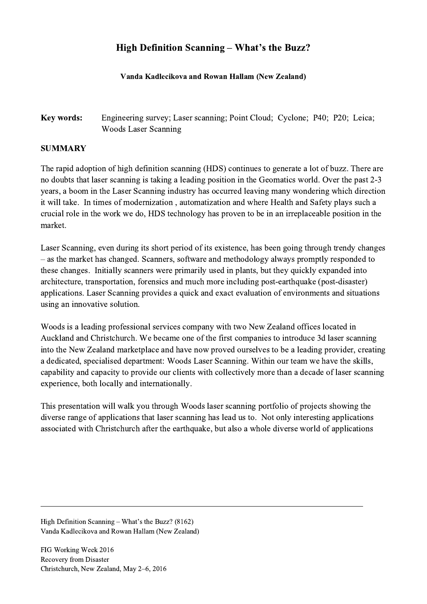## High Definition Scanning – What's the Buzz?

## Vanda Kadlecikova and Rowan Hallam (New Zealand)

## Key words: Engineering survey; Laser scanning; Point Cloud; Cyclone; P40; P20; Leica; Woods Laser Scanning

## SUMMARY

The rapid adoption of high definition scanning (HDS) continues to generate a lot of buzz. There are no doubts that laser scanning is taking a leading position in the Geomatics world. Over the past 2-3 years, a boom in the Laser Scanning industry has occurred leaving many wondering which direction it will take. In times of modernization , automatization and where Health and Safety plays such a crucial role in the work we do, HDS technology has proven to be in an irreplaceable position in the market.

Laser Scanning, even during its short period of its existence, has been going through trendy changes – as the market has changed. Scanners, software and methodology always promptly responded to these changes. Initially scanners were primarily used in plants, but they quickly expanded into architecture, transportation, forensics and much more including post-earthquake (post-disaster) applications. Laser Scanning provides a quick and exact evaluation of environments and situations using an innovative solution.

Woods is a leading professional services company with two New Zealand offices located in Auckland and Christchurch. We became one of the first companies to introduce 3d laser scanning into the New Zealand marketplace and have now proved ourselves to be a leading provider, creating a dedicated, specialised department: Woods Laser Scanning. Within our team we have the skills, capability and capacity to provide our clients with collectively more than a decade of laser scanning experience, both locally and internationally.

This presentation will walk you through Woods laser scanning portfolio of projects showing the diverse range of applications that laser scanning has lead us to. Not only interesting applications associated with Christchurch after the earthquake, but also a whole diverse world of applications

 $\mathcal{L}_\mathcal{L} = \{ \mathcal{L}_\mathcal{L} = \{ \mathcal{L}_\mathcal{L} = \{ \mathcal{L}_\mathcal{L} = \{ \mathcal{L}_\mathcal{L} = \{ \mathcal{L}_\mathcal{L} = \{ \mathcal{L}_\mathcal{L} = \{ \mathcal{L}_\mathcal{L} = \{ \mathcal{L}_\mathcal{L} = \{ \mathcal{L}_\mathcal{L} = \{ \mathcal{L}_\mathcal{L} = \{ \mathcal{L}_\mathcal{L} = \{ \mathcal{L}_\mathcal{L} = \{ \mathcal{L}_\mathcal{L} = \{ \mathcal{L}_\mathcal{$ 

High Definition Scanning – What's the Buzz? (8162) Vanda Kadlecikova and Rowan Hallam (New Zealand)

FIG Working Week 2016 Recovery from Disaster Christchurch, New Zealand, May 2–6, 2016